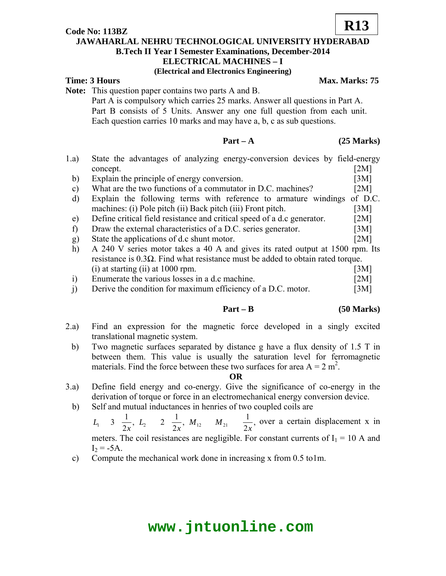# **JAWAHARLAL NEHRU TECHNOLOGICAL UNIVERSITY HYDERABAD**

**B.Tech II Year I Semester Examinations, December-2014** 

**ELECTRICAL MACHINES – I** 

## **(Electrical and Electronics Engineering)**

**Note:** This question paper contains two parts A and B. Part A is compulsory which carries 25 marks. Answer all questions in Part A. Part B consists of 5 Units. Answer any one full question from each unit. Each question carries 10 marks and may have a, b, c as sub questions.

- **Part A (25 Marks)**
- 1.a) State the advantages of analyzing energy-conversion devices by field-energy concept. [2M]
	- b) Explain the principle of energy conversion. [3M]
	- c) What are the two functions of a commutator in D.C. machines? [2M]
	- d) Explain the following terms with reference to armature windings of D.C. machines: (i) Pole pitch (ii) Back pitch (iii) Front pitch. [3M]
	- e) Define critical field resistance and critical speed of a d.c generator. [2M]
	- f) Draw the external characteristics of a D.C. series generator. [3M]
	- g) State the applications of d.c shunt motor. [2M]
	- h) A 240 V series motor takes a 40 A and gives its rated output at 1500 rpm. Its resistance is 0.3Ω. Find what resistance must be added to obtain rated torque. (i) at starting (ii) at  $1000$  rpm. [3M]
	- i) Enumerate the various losses in a d.c machine. [2M]
	- j) Derive the condition for maximum efficiency of a D.C. motor. [3M]

# **Part – B (50 Marks)**

- 2.a) Find an expression for the magnetic force developed in a singly excited translational magnetic system.
- b) Two magnetic surfaces separated by distance g have a flux density of 1.5 T in between them. This value is usually the saturation level for ferromagnetic materials. Find the force between these two surfaces for area  $A = 2 m^2$ .

## **OR**

- 3.a) Define field energy and co-energy. Give the significance of co-energy in the derivation of torque or force in an electromechanical energy conversion device.
	- b) Self and mutual inductances in henries of two coupled coils are

 $L_1 = 3 + \frac{1}{2x}, L_2 = 2 + \frac{1}{2x}, M_{12} = M_{21} = \frac{1}{2x},$  $x^3 - 2$  **2x 2x 2x 2x 2x**  $=3+\frac{1}{2}, L_2 = 2+\frac{1}{2}, M_{12} = M_{21} = \frac{1}{2}$ , over a certain displacement x in meters. The coil resistances are negligible. For constant currents of  $I_1 = 10$  A and  $I_2 = -5A$ .

c) Compute the mechanical work done in increasing x from 0.5 to1m.

# **www.jntuonline.com**

**R13**

**Time: 3 Hours Max. Marks: 75**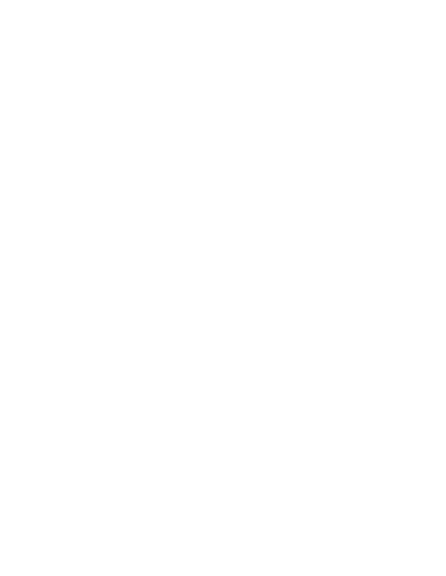- 4.a) Explain the methods of improving commutation in d.c generators with the help of neat sketches.
	- b) A 250 kW, 400 V, 4 pole d.c generator has 720 lap wound conductors. It is given a brush lead of 3 angular degrees (mech.) from the geometric neutral. Calculate the cross and demagnetizing ampere turns per pole. Neglect the shunt field current.

**OR** 

- 5.a) What is armature reaction? What are the effects of armature reaction? How the armature reaction is minimized?
- b) A single turn coil has an inductance of 0.02mH in the commutating zone. Find the value of compensating field required for obtaining straight line commutation for an armature current of 120A for 4-pole lap wound d.c machine.
- 6.a) Explain the desirable conditions and parallel operation of d.c compound generators with a neat circuit diagram.
	- b) Two d.c shunt generators are rated 230 kW and 150kW, 400 V. Their full load drops are 3% and 6% respectively. They are excited to no load voltages of 410 V and 420 V respectively. How will they share load of 1000A and the corresponding bus voltage?

**OR** 

- 7.a) How O.C.C. characteristic of d.c. seperately excited generator is drawn?
	- b) The open circuit characteristics of a d.c shunt generator at rated speed is

| $I_f(A)$    |    | $\bigcap$<br>ں ۔ | ັ   |     |     | 1 ^<br>- ⊥ | ⊥ン  | 10  |
|-------------|----|------------------|-----|-----|-----|------------|-----|-----|
| $V_{OC}(V)$ | 22 | 231              | 400 | 479 | 539 | 605        | 642 | 671 |

The field and armature resistances are  $46\Omega$  and  $0.12\Omega$  respectively. Determine the terminal voltage when the armature current is 360A in two cases:

i) Armature reaction is negligible

ii) 1A field current is needed to counteract the effect of armature reaction.

- 8.a) Derive an expression for the electromagnetic torque produced by d.c motor.
- b) A 10 kW, 250 V d.c shunt motor takes a no-load armature current of 6A at rated voltage and runs at 1250 r.p.m. The armature circuit resistance is  $0.3\Omega$  and the field resistance is  $50\Omega$ . At rated load and rated voltage, the motor takes a current of 20A and the armature reaction weakens the field flux by 2%. Calculate the full load speed and the corresponding electromagnetic torque of the motor.

# **OR**

- 9.a) Explain different speed control methods of d.c. motor. Mention their advantages and disadvantages.
	- b) A d.c series motor is driving a fan load where the load torque is proportional to the cube of speed. The resistance of the armature and field in series is 0.1  $\Omega$  and the motor takes 10 A and runs at 1000 r.p.m when operating from a 200 V supply. Calculate the value of resistance to be inserted in series with the armature to reduce the operating speed to 800 r.p.m.

# **www.jntuonline.com**